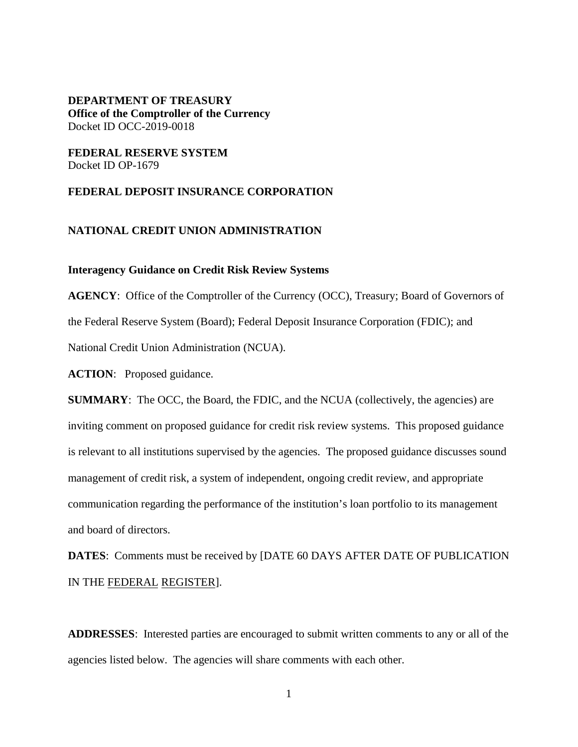#### **DEPARTMENT OF TREASURY Office of the Comptroller of the Currency** Docket ID OCC-2019-0018

#### **FEDERAL RESERVE SYSTEM** Docket ID OP-1679

#### **FEDERAL DEPOSIT INSURANCE CORPORATION**

#### **NATIONAL CREDIT UNION ADMINISTRATION**

#### **Interagency Guidance on Credit Risk Review Systems**

**AGENCY**: Office of the Comptroller of the Currency (OCC), Treasury; Board of Governors of the Federal Reserve System (Board); Federal Deposit Insurance Corporation (FDIC); and National Credit Union Administration (NCUA).

**ACTION**: Proposed guidance.

**SUMMARY:** The OCC, the Board, the FDIC, and the NCUA (collectively, the agencies) are inviting comment on proposed guidance for credit risk review systems. This proposed guidance is relevant to all institutions supervised by the agencies. The proposed guidance discusses sound management of credit risk, a system of independent, ongoing credit review, and appropriate communication regarding the performance of the institution's loan portfolio to its management and board of directors.

**DATES**: Comments must be received by [DATE 60 DAYS AFTER DATE OF PUBLICATION IN THE FEDERAL REGISTER].

**ADDRESSES**: Interested parties are encouraged to submit written comments to any or all of the agencies listed below. The agencies will share comments with each other.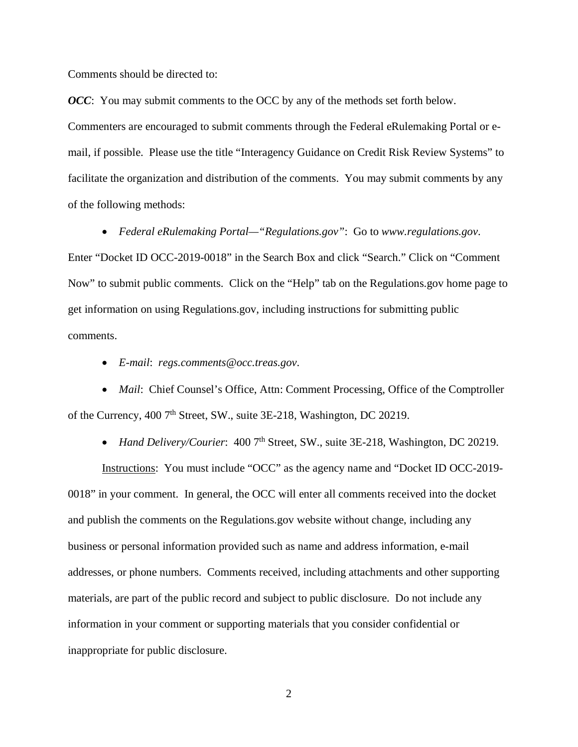Comments should be directed to:

*OCC*: You may submit comments to the OCC by any of the methods set forth below. Commenters are encouraged to submit comments through the Federal eRulemaking Portal or email, if possible. Please use the title "Interagency Guidance on Credit Risk Review Systems" to facilitate the organization and distribution of the comments. You may submit comments by any of the following methods:

• *Federal eRulemaking Portal—"Regulations.gov"*: Go to *www.regulations.gov*.

Enter "Docket ID OCC-2019-0018" in the Search Box and click "Search." Click on "Comment Now" to submit public comments. Click on the "Help" tab on the Regulations.gov home page to get information on using Regulations.gov, including instructions for submitting public comments.

• *E-mail*: *[regs.comments@occ.treas.gov](mailto:regs.comments@occ.treas.gov)*.

• *Mail: Chief Counsel's Office, Attn: Comment Processing, Office of the Comptroller* of the Currency, 400 7<sup>th</sup> Street, SW., suite 3E-218, Washington, DC 20219.

• *Hand Delivery/Courier*: 400 7<sup>th</sup> Street, SW., suite 3E-218, Washington, DC 20219.

Instructions: You must include "OCC" as the agency name and "Docket ID OCC-2019- 0018" in your comment.In general, the OCC will enter all comments received into the docket and publish the comments on the Regulations.gov website without change, including any business or personal information provided such as name and address information, e-mail addresses, or phone numbers. Comments received, including attachments and other supporting materials, are part of the public record and subject to public disclosure. Do not include any information in your comment or supporting materials that you consider confidential or inappropriate for public disclosure.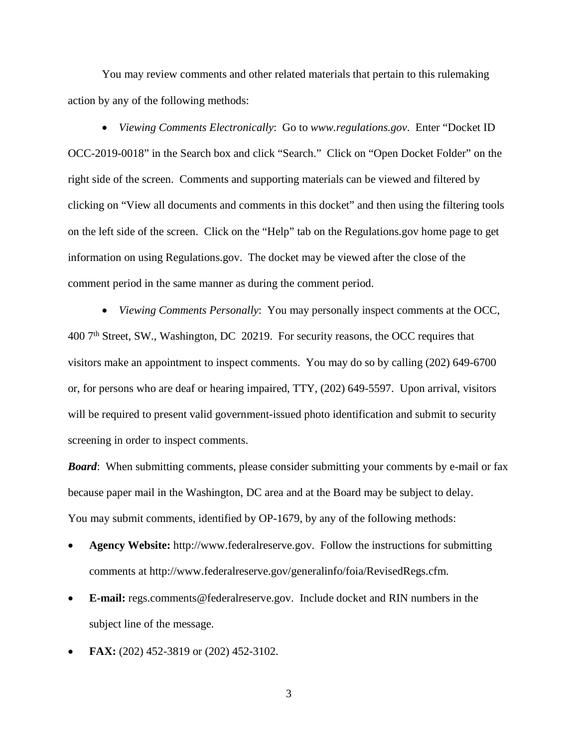You may review comments and other related materials that pertain to this rulemaking action by any of the following methods:

• *Viewing Comments Electronically*: Go to *www.regulations.gov*. Enter "Docket ID OCC-2019-0018" in the Search box and click "Search." Click on "Open Docket Folder" on the right side of the screen. Comments and supporting materials can be viewed and filtered by clicking on "View all documents and comments in this docket" and then using the filtering tools on the left side of the screen. Click on the "Help" tab on the Regulations.gov home page to get information on using Regulations.gov. The docket may be viewed after the close of the comment period in the same manner as during the comment period.

• *Viewing Comments Personally*: You may personally inspect comments at the OCC, 400 7<sup>th</sup> Street, SW., Washington, DC 20219. For security reasons, the OCC requires that visitors make an appointment to inspect comments. You may do so by calling (202) 649-6700 or, for persons who are deaf or hearing impaired, TTY, (202) 649-5597. Upon arrival, visitors will be required to present valid government-issued photo identification and submit to security screening in order to inspect comments.

*Board*: When submitting comments, please consider submitting your comments by e-mail or fax because paper mail in the Washington, DC area and at the Board may be subject to delay. You may submit comments, identified by OP-1679, by any of the following methods:

- **Agency Website:** http://www.federalreserve.gov. Follow the instructions for submitting comments at http://www.federalreserve.gov/generalinfo/foia/RevisedRegs.cfm.
- **E-mail:** regs.comments@federalreserve.gov. Include docket and RIN numbers in the subject line of the message.
- **FAX:** (202) 452-3819 or (202) 452-3102.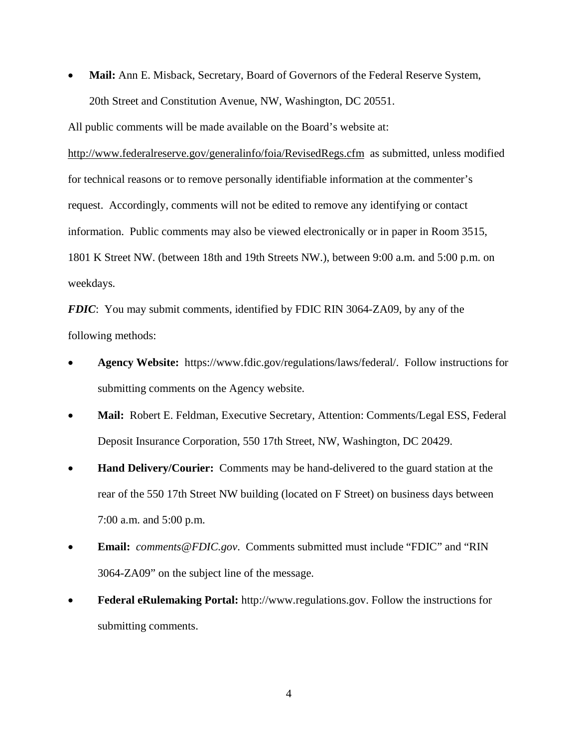• **Mail:** Ann E. Misback, Secretary, Board of Governors of the Federal Reserve System, 20th Street and Constitution Avenue, NW, Washington, DC 20551.

All public comments will be made available on the Board's website at:

[http://www.federalreserve.gov/generalinfo/foia/RevisedRegs.cfm](http://www.federalreserve.gov/generalinfo/foia/ProposedRegs.cfm) as submitted, unless modified for technical reasons or to remove personally identifiable information at the commenter's request. Accordingly, comments will not be edited to remove any identifying or contact information. Public comments may also be viewed electronically or in paper in Room 3515, 1801 K Street NW. (between 18th and 19th Streets NW.), between 9:00 a.m. and 5:00 p.m. on weekdays.

*FDIC*: You may submit comments, identified by FDIC RIN 3064-ZA09, by any of the following methods:

- **Agency Website:** https://www.fdic.gov/regulations/laws/federal/. Follow instructions for submitting comments on the Agency website.
- **Mail:** Robert E. Feldman, Executive Secretary, Attention: Comments/Legal ESS, Federal Deposit Insurance Corporation, 550 17th Street, NW, Washington, DC 20429.
- **Hand Delivery/Courier:** Comments may be hand-delivered to the guard station at the rear of the 550 17th Street NW building (located on F Street) on business days between 7:00 a.m. and 5:00 p.m.
- **Email:** *comments@FDIC.gov*. Comments submitted must include "FDIC" and "RIN 3064-ZA09" on the subject line of the message.
- **Federal eRulemaking Portal:** http://www.regulations.gov. Follow the instructions for submitting comments.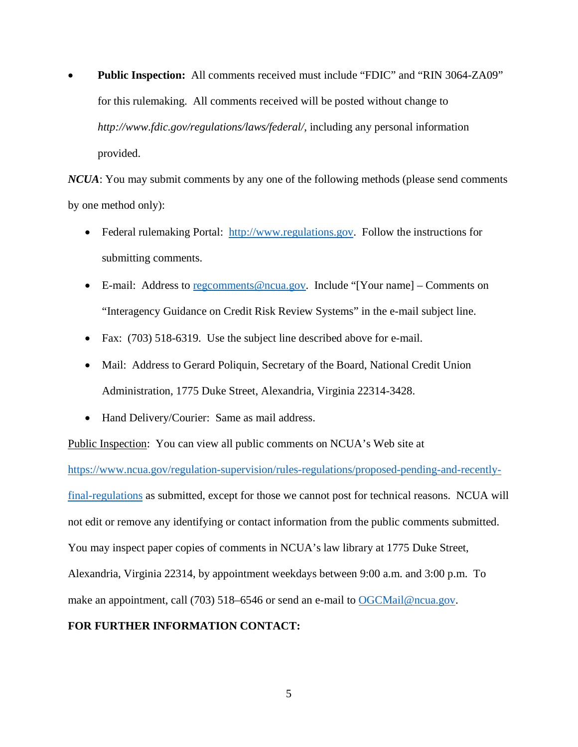• **Public Inspection:** All comments received must include "FDIC" and "RIN 3064-ZA09" for this rulemaking. All comments received will be posted without change to *http://www.fdic.gov/regulations/laws/federal/*, including any personal information provided.

*NCUA*: You may submit comments by any one of the following methods (please send comments by one method only):

- Federal rulemaking Portal: [http://www.regulations.gov.](http://www.regulations.gov/) Follow the instructions for submitting comments.
- E-mail: Address to [regcomments@ncua.gov.](mailto:regcomments@ncua.gov) Include "[Your name] Comments on "Interagency Guidance on Credit Risk Review Systems" in the e-mail subject line.
- Fax: (703) 518-6319. Use the subject line described above for e-mail.
- Mail: Address to Gerard Poliquin, Secretary of the Board, National Credit Union Administration, 1775 Duke Street, Alexandria, Virginia 22314-3428.
- Hand Delivery/Courier: Same as mail address.

Public Inspection: You can view all public comments on NCUA's Web site at

[https://www.ncua.gov/regulation-supervision/rules-regulations/proposed-pending-and-recently](https://www.ncua.gov/regulation-supervision/rules-regulations/proposed-pending-and-recently-final-regulations)[final-regulations](https://www.ncua.gov/regulation-supervision/rules-regulations/proposed-pending-and-recently-final-regulations) as submitted, except for those we cannot post for technical reasons. NCUA will not edit or remove any identifying or contact information from the public comments submitted. You may inspect paper copies of comments in NCUA's law library at 1775 Duke Street, Alexandria, Virginia 22314, by appointment weekdays between 9:00 a.m. and 3:00 p.m. To make an appointment, call (703) 518–6546 or send an e-mail to [OGCMail@ncua.gov.](mailto:OGCMail@ncua.gov)

#### **FOR FURTHER INFORMATION CONTACT:**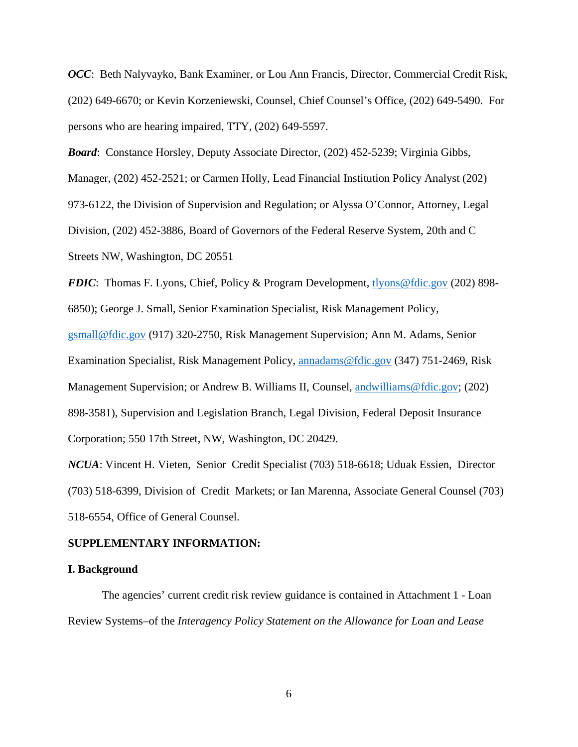*OCC*: Beth Nalyvayko, Bank Examiner, or Lou Ann Francis, Director, Commercial Credit Risk, (202) 649-6670; or Kevin Korzeniewski, Counsel, Chief Counsel's Office, (202) 649-5490. For persons who are hearing impaired, TTY, (202) 649-5597.

*Board*: Constance Horsley, Deputy Associate Director, (202) 452-5239; Virginia Gibbs,

Manager, (202) 452-2521; or Carmen Holly, Lead Financial Institution Policy Analyst (202)

973-6122, the Division of Supervision and Regulation; or Alyssa O'Connor, Attorney, Legal Division, (202) 452-3886, Board of Governors of the Federal Reserve System, 20th and C Streets NW, Washington, DC 20551

*FDIC*: Thomas F. Lyons, Chief, Policy & Program Development, [tlyons@fdic.gov](mailto:tlyons@fdic.gov) (202) 898-6850); George J. Small, Senior Examination Specialist, Risk Management Policy, [gsmall@fdic.gov](mailto:gsmall@fdic.gov) (917) 320-2750, Risk Management Supervision; Ann M. Adams, Senior Examination Specialist, Risk Management Policy, [annadams@fdic.gov](mailto:annadams@fdic.gov) (347) 751-2469, Risk Management Supervision; or Andrew B. Williams II, Counsel, [andwilliams@fdic.gov;](mailto:andwilliams@fdic.gov) (202) 898-3581), Supervision and Legislation Branch, Legal Division, Federal Deposit Insurance Corporation; 550 17th Street, NW, Washington, DC 20429.

*NCUA*: Vincent H. Vieten, Senior Credit Specialist (703) 518-6618; Uduak Essien, Director (703) 518-6399, Division of Credit Markets; or Ian Marenna, Associate General Counsel (703) 518-6554, Office of General Counsel.

#### **SUPPLEMENTARY INFORMATION:**

#### **I. Background**

The agencies' current credit risk review guidance is contained in Attachment 1 - Loan Review Systems–of the *Interagency Policy Statement on the Allowance for Loan and Lease*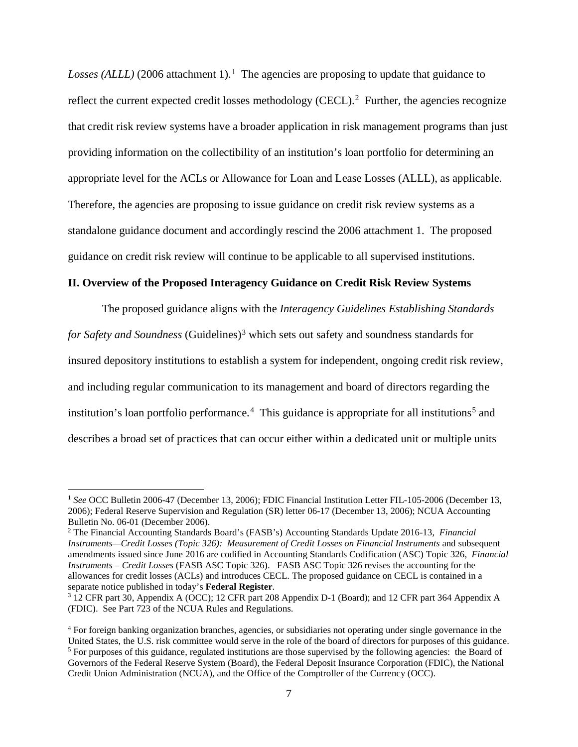*Losses (ALLL)* (2006 attachment 1).<sup>1</sup> The agencies are proposing to update that guidance to reflect the current expected credit losses methodology (CECL).<sup>[2](#page-6-1)</sup> Further, the agencies recognize that credit risk review systems have a broader application in risk management programs than just providing information on the collectibility of an institution's loan portfolio for determining an appropriate level for the ACLs or Allowance for Loan and Lease Losses (ALLL), as applicable. Therefore, the agencies are proposing to issue guidance on credit risk review systems as a standalone guidance document and accordingly rescind the 2006 attachment 1. The proposed guidance on credit risk review will continue to be applicable to all supervised institutions.

#### **II. Overview of the Proposed Interagency Guidance on Credit Risk Review Systems**

The proposed guidance aligns with the *Interagency Guidelines Establishing Standards for Safety and Soundness* (Guidelines)<sup>[3](#page-6-2)</sup> which sets out safety and soundness standards for insured depository institutions to establish a system for independent, ongoing credit risk review, and including regular communication to its management and board of directors regarding the institution's loan portfolio performance.<sup>[4](#page-6-3)</sup> This guidance is appropriate for all institutions<sup>[5](#page-6-4)</sup> and describes a broad set of practices that can occur either within a dedicated unit or multiple units

<span id="page-6-0"></span><sup>&</sup>lt;sup>1</sup> See OCC Bulletin 2006-47 (December 13, 2006); FDIC Financial Institution Letter FIL-105-2006 (December 13, 2006); Federal Reserve Supervision and Regulation (SR) letter 06-17 (December 13, 2006); NCUA Accounting Bulletin No. 06-01 (December 2006).

<span id="page-6-1"></span><sup>2</sup> The Financial Accounting Standards Board's (FASB's) Accounting Standards Update 2016-13, *Financial Instruments—Credit Losses (Topic 326): Measurement of Credit Losses on Financial Instruments* and subsequent amendments issued since June 2016 are codified in Accounting Standards Codification (ASC) Topic 326, *Financial Instruments – Credit Losses* (FASB ASC Topic 326). FASB ASC Topic 326 revises the accounting for the allowances for credit losses (ACLs) and introduces CECL. The proposed guidance on CECL is contained in a separate notice published in today's **Federal Register**.

<span id="page-6-2"></span>separate notice published in today's **Federal Register**. 3 12 CFR part 30, Appendix A (OCC); 12 CFR part 208 Appendix D-1 (Board); and 12 CFR part 364 Appendix A (FDIC). See Part 723 of the NCUA Rules and Regulations.

<span id="page-6-4"></span><span id="page-6-3"></span><sup>4</sup> For foreign banking organization branches, agencies, or subsidiaries not operating under single governance in the United States, the U.S. risk committee would serve in the role of the board of directors for purposes of this guidance. <sup>5</sup> For purposes of this guidance, regulated institutions are those supervised by the following agencies: the Board of Governors of the Federal Reserve System (Board), the Federal Deposit Insurance Corporation (FDIC), the National Credit Union Administration (NCUA), and the Office of the Comptroller of the Currency (OCC).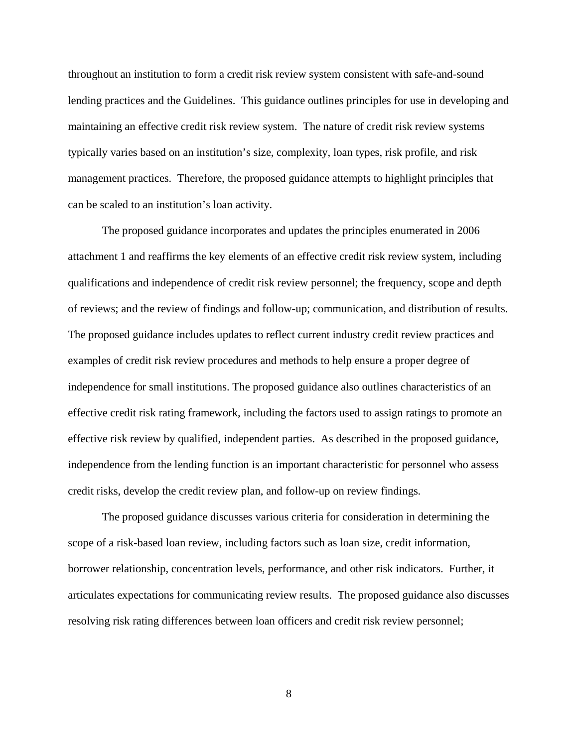throughout an institution to form a credit risk review system consistent with safe-and-sound lending practices and the Guidelines. This guidance outlines principles for use in developing and maintaining an effective credit risk review system. The nature of credit risk review systems typically varies based on an institution's size, complexity, loan types, risk profile, and risk management practices. Therefore, the proposed guidance attempts to highlight principles that can be scaled to an institution's loan activity.

The proposed guidance incorporates and updates the principles enumerated in 2006 attachment 1 and reaffirms the key elements of an effective credit risk review system, including qualifications and independence of credit risk review personnel; the frequency, scope and depth of reviews; and the review of findings and follow-up; communication, and distribution of results. The proposed guidance includes updates to reflect current industry credit review practices and examples of credit risk review procedures and methods to help ensure a proper degree of independence for small institutions. The proposed guidance also outlines characteristics of an effective credit risk rating framework, including the factors used to assign ratings to promote an effective risk review by qualified, independent parties. As described in the proposed guidance, independence from the lending function is an important characteristic for personnel who assess credit risks, develop the credit review plan, and follow-up on review findings.

The proposed guidance discusses various criteria for consideration in determining the scope of a risk-based loan review, including factors such as loan size, credit information, borrower relationship, concentration levels, performance, and other risk indicators. Further, it articulates expectations for communicating review results. The proposed guidance also discusses resolving risk rating differences between loan officers and credit risk review personnel;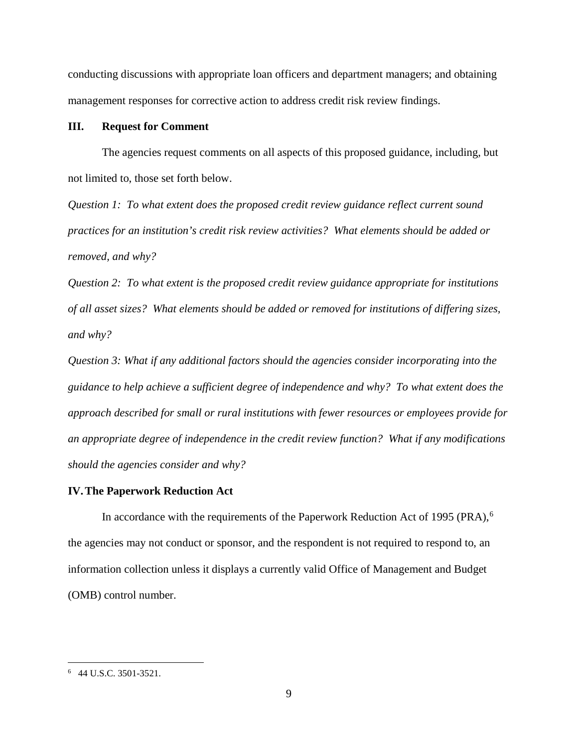conducting discussions with appropriate loan officers and department managers; and obtaining management responses for corrective action to address credit risk review findings.

#### **III. Request for Comment**

The agencies request comments on all aspects of this proposed guidance, including, but not limited to, those set forth below.

*Question 1: To what extent does the proposed credit review guidance reflect current sound practices for an institution's credit risk review activities? What elements should be added or removed, and why?*

*Question 2: To what extent is the proposed credit review guidance appropriate for institutions of all asset sizes? What elements should be added or removed for institutions of differing sizes, and why?*

*Question 3: What if any additional factors should the agencies consider incorporating into the guidance to help achieve a sufficient degree of independence and why? To what extent does the approach described for small or rural institutions with fewer resources or employees provide for an appropriate degree of independence in the credit review function? What if any modifications should the agencies consider and why?*

#### **IV.The Paperwork Reduction Act**

In accordance with the requirements of the Paperwork Reduction Act of 1995 (PRA),<sup>[6](#page-8-0)</sup> the agencies may not conduct or sponsor, and the respondent is not required to respond to, an information collection unless it displays a currently valid Office of Management and Budget (OMB) control number.

<span id="page-8-0"></span> $\frac{1}{6}$ 44 U.S.C. 3501-3521.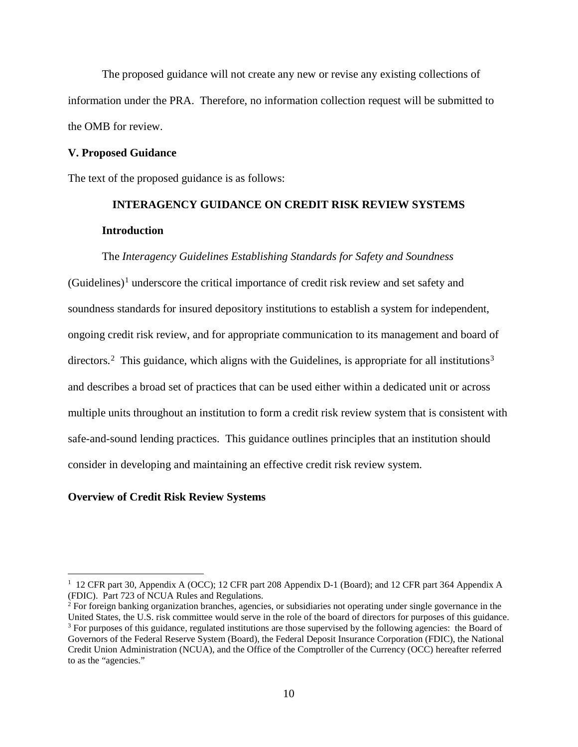The proposed guidance will not create any new or revise any existing collections of information under the PRA. Therefore, no information collection request will be submitted to the OMB for review.

#### **V. Proposed Guidance**

The text of the proposed guidance is as follows:

## **INTERAGENCY GUIDANCE ON CREDIT RISK REVIEW SYSTEMS Introduction**

#### The *Interagency Guidelines Establishing Standards for Safety and Soundness*

 $(Guidelines)^{1}$  $(Guidelines)^{1}$  $(Guidelines)^{1}$  underscore the critical importance of credit risk review and set safety and soundness standards for insured depository institutions to establish a system for independent, ongoing credit risk review, and for appropriate communication to its management and board of directors.<sup>2</sup> This guidance, which aligns with the Guidelines, is appropriate for all institutions<sup>[3](#page-9-2)</sup> and describes a broad set of practices that can be used either within a dedicated unit or across multiple units throughout an institution to form a credit risk review system that is consistent with safe-and-sound lending practices. This guidance outlines principles that an institution should consider in developing and maintaining an effective credit risk review system.

#### **Overview of Credit Risk Review Systems**

<span id="page-9-0"></span> $\frac{1}{1}$ <sup>1</sup> 12 CFR part 30, Appendix A (OCC); 12 CFR part 208 Appendix D-1 (Board); and 12 CFR part 364 Appendix A (FDIC). Part 723 of NCUA Rules and Regulations.

<span id="page-9-2"></span><span id="page-9-1"></span><sup>&</sup>lt;sup>2</sup> For foreign banking organization branches, agencies, or subsidiaries not operating under single governance in the United States, the U.S. risk committee would serve in the role of the board of directors for purposes of this guidance. <sup>3</sup> For purposes of this guidance, regulated institutions are those supervised by the following agencies: the Board of Governors of the Federal Reserve System (Board), the Federal Deposit Insurance Corporation (FDIC), the National Credit Union Administration (NCUA), and the Office of the Comptroller of the Currency (OCC) hereafter referred to as the "agencies."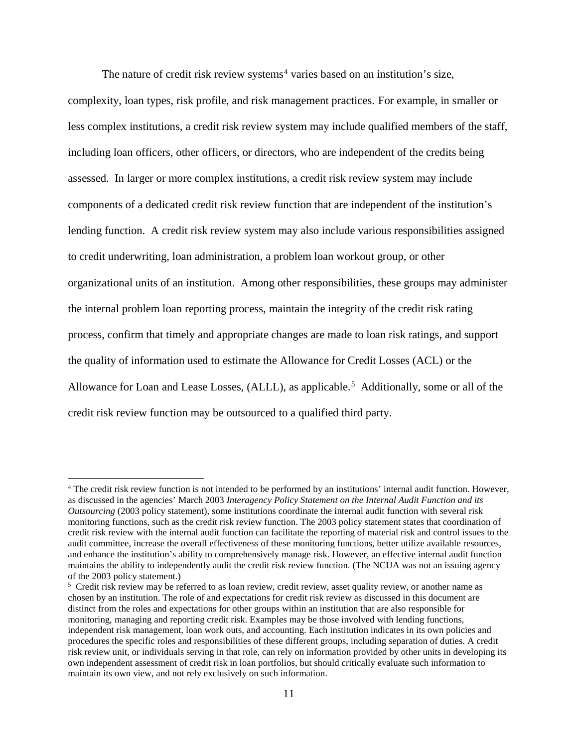The nature of credit risk review systems<sup>[4](#page-10-0)</sup> varies based on an institution's size,

complexity, loan types, risk profile, and risk management practices. For example, in smaller or less complex institutions, a credit risk review system may include qualified members of the staff, including loan officers, other officers, or directors, who are independent of the credits being assessed. In larger or more complex institutions, a credit risk review system may include components of a dedicated credit risk review function that are independent of the institution's lending function. A credit risk review system may also include various responsibilities assigned to credit underwriting, loan administration, a problem loan workout group, or other organizational units of an institution. Among other responsibilities, these groups may administer the internal problem loan reporting process, maintain the integrity of the credit risk rating process, confirm that timely and appropriate changes are made to loan risk ratings, and support the quality of information used to estimate the Allowance for Credit Losses (ACL) or the Allowance for Loan and Lease Losses, (ALLL), as applicable.<sup>[5](#page-10-1)</sup> Additionally, some or all of the credit risk review function may be outsourced to a qualified third party.

<span id="page-10-0"></span> <sup>4</sup> The credit risk review function is not intended to be performed by an institutions' internal audit function. However, as discussed in the agencies' March 2003 *Interagency Policy Statement on the Internal Audit Function and its Outsourcing* (2003 policy statement), some institutions coordinate the internal audit function with several risk monitoring functions, such as the credit risk review function. The 2003 policy statement states that coordination of credit risk review with the internal audit function can facilitate the reporting of material risk and control issues to the audit committee, increase the overall effectiveness of these monitoring functions, better utilize available resources, and enhance the institution's ability to comprehensively manage risk. However, an effective internal audit function maintains the ability to independently audit the credit risk review function. (The NCUA was not an issuing agency of the 2003 policy statement.)

<span id="page-10-1"></span><sup>&</sup>lt;sup>5</sup> Credit risk review may be referred to as loan review, credit review, asset quality review, or another name as chosen by an institution. The role of and expectations for credit risk review as discussed in this document are distinct from the roles and expectations for other groups within an institution that are also responsible for monitoring, managing and reporting credit risk. Examples may be those involved with lending functions, independent risk management, loan work outs, and accounting. Each institution indicates in its own policies and procedures the specific roles and responsibilities of these different groups, including separation of duties. A credit risk review unit, or individuals serving in that role, can rely on information provided by other units in developing its own independent assessment of credit risk in loan portfolios, but should critically evaluate such information to maintain its own view, and not rely exclusively on such information.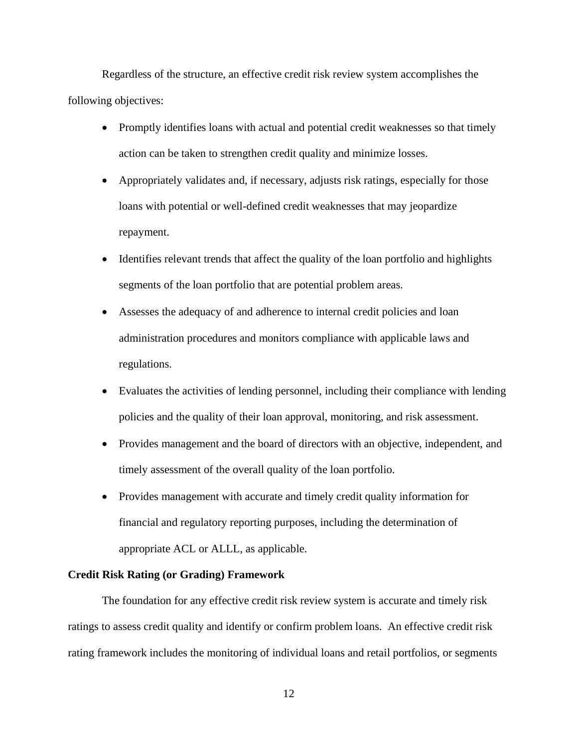Regardless of the structure, an effective credit risk review system accomplishes the following objectives:

- Promptly identifies loans with actual and potential credit weaknesses so that timely action can be taken to strengthen credit quality and minimize losses.
- Appropriately validates and, if necessary, adjusts risk ratings, especially for those loans with potential or well-defined credit weaknesses that may jeopardize repayment.
- Identifies relevant trends that affect the quality of the loan portfolio and highlights segments of the loan portfolio that are potential problem areas.
- Assesses the adequacy of and adherence to internal credit policies and loan administration procedures and monitors compliance with applicable laws and regulations.
- Evaluates the activities of lending personnel, including their compliance with lending policies and the quality of their loan approval, monitoring, and risk assessment.
- Provides management and the board of directors with an objective, independent, and timely assessment of the overall quality of the loan portfolio.
- Provides management with accurate and timely credit quality information for financial and regulatory reporting purposes, including the determination of appropriate ACL or ALLL, as applicable.

#### **Credit Risk Rating (or Grading) Framework**

The foundation for any effective credit risk review system is accurate and timely risk ratings to assess credit quality and identify or confirm problem loans. An effective credit risk rating framework includes the monitoring of individual loans and retail portfolios, or segments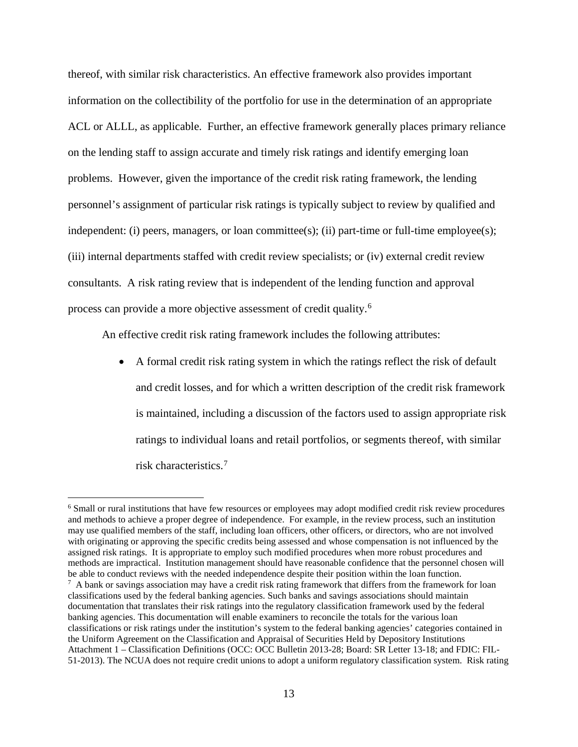thereof, with similar risk characteristics. An effective framework also provides important information on the collectibility of the portfolio for use in the determination of an appropriate ACL or ALLL, as applicable. Further, an effective framework generally places primary reliance on the lending staff to assign accurate and timely risk ratings and identify emerging loan problems. However, given the importance of the credit risk rating framework, the lending personnel's assignment of particular risk ratings is typically subject to review by qualified and independent: (i) peers, managers, or loan committee(s); (ii) part-time or full-time employee(s); (iii) internal departments staffed with credit review specialists; or (iv) external credit review consultants. A risk rating review that is independent of the lending function and approval process can provide a more objective assessment of credit quality.[6](#page-12-0) 

An effective credit risk rating framework includes the following attributes:

• A formal credit risk rating system in which the ratings reflect the risk of default and credit losses, and for which a written description of the credit risk framework is maintained, including a discussion of the factors used to assign appropriate risk ratings to individual loans and retail portfolios, or segments thereof, with similar risk characteristics. [7](#page-12-1)

<span id="page-12-1"></span><span id="page-12-0"></span> <sup>6</sup> Small or rural institutions that have few resources or employees may adopt modified credit risk review procedures and methods to achieve a proper degree of independence. For example, in the review process, such an institution may use qualified members of the staff, including loan officers, other officers, or directors, who are not involved with originating or approving the specific credits being assessed and whose compensation is not influenced by the assigned risk ratings. It is appropriate to employ such modified procedures when more robust procedures and methods are impractical. Institution management should have reasonable confidence that the personnel chosen will be able to conduct reviews with the needed independence despite their position within the loan function.  $^7$  A bank or savings association may have a credit risk rating framework that differs from the framework for loan classifications used by the federal banking agencies. Such banks and savings associations should maintain documentation that translates their risk ratings into the regulatory classification framework used by the federal banking agencies. This documentation will enable examiners to reconcile the totals for the various loan classifications or risk ratings under the institution's system to the federal banking agencies' categories contained in the Uniform Agreement on the Classification and Appraisal of Securities Held by Depository Institutions Attachment 1 – Classification Definitions (OCC: OCC Bulletin 2013-28; Board: SR Letter 13-18; and FDIC: FIL-51-2013). The NCUA does not require credit unions to adopt a uniform regulatory classification system. Risk rating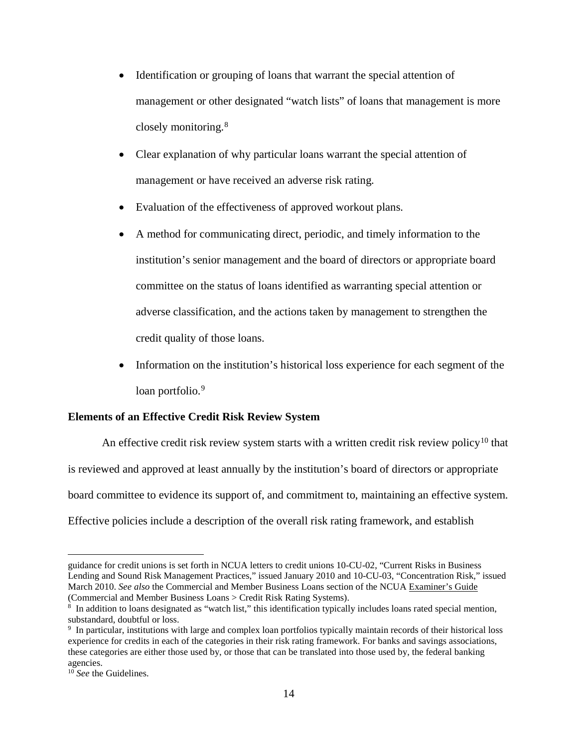- Identification or grouping of loans that warrant the special attention of management or other designated "watch lists" of loans that management is more closely monitoring.[8](#page-13-0)
- Clear explanation of why particular loans warrant the special attention of management or have received an adverse risk rating.
- Evaluation of the effectiveness of approved workout plans.
- A method for communicating direct, periodic, and timely information to the institution's senior management and the board of directors or appropriate board committee on the status of loans identified as warranting special attention or adverse classification, and the actions taken by management to strengthen the credit quality of those loans.
- Information on the institution's historical loss experience for each segment of the loan portfolio.<sup>[9](#page-13-1)</sup>

#### **Elements of an Effective Credit Risk Review System**

An effective credit risk review system starts with a written credit risk review policy<sup>[10](#page-13-2)</sup> that is reviewed and approved at least annually by the institution's board of directors or appropriate board committee to evidence its support of, and commitment to, maintaining an effective system. Effective policies include a description of the overall risk rating framework, and establish

 $\overline{a}$ 

guidance for credit unions is set forth in NCUA letters to credit unions 10-CU-02, "Current Risks in Business Lending and Sound Risk Management Practices," issued January 2010 and 10-CU-03, "Concentration Risk," issued March 2010. *See also* the Commercial and Member Business Loans section of the NCUA Examiner's Guide (Commercial and Member Business Loans > Credit Risk Rating Systems).

<span id="page-13-0"></span><sup>8</sup> In addition to loans designated as "watch list," this identification typically includes loans rated special mention, substandard, doubtful or loss.

<span id="page-13-1"></span><sup>9</sup> In particular, institutions with large and complex loan portfolios typically maintain records of their historical loss experience for credits in each of the categories in their risk rating framework. For banks and savings associations, these categories are either those used by, or those that can be translated into those used by, the federal banking agencies.

<span id="page-13-2"></span><sup>&</sup>lt;sup>10</sup> See the Guidelines.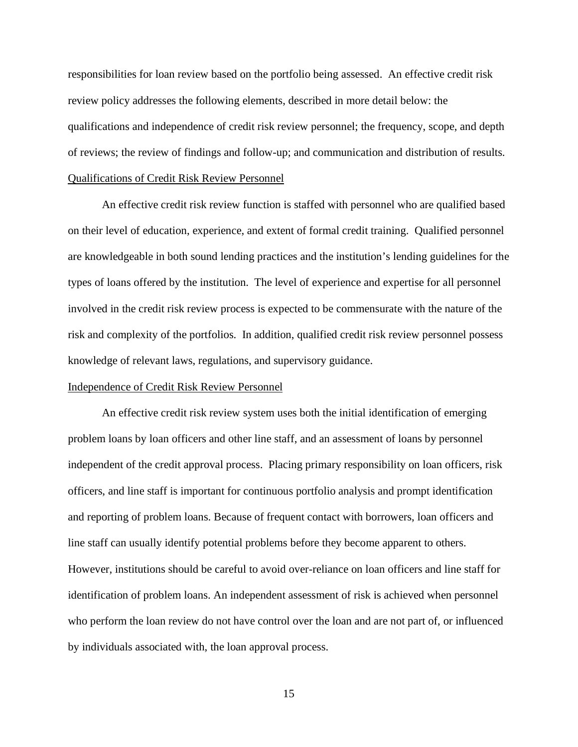responsibilities for loan review based on the portfolio being assessed. An effective credit risk review policy addresses the following elements, described in more detail below: the qualifications and independence of credit risk review personnel; the frequency, scope, and depth of reviews; the review of findings and follow-up; and communication and distribution of results. Qualifications of Credit Risk Review Personnel

An effective credit risk review function is staffed with personnel who are qualified based on their level of education, experience, and extent of formal credit training. Qualified personnel are knowledgeable in both sound lending practices and the institution's lending guidelines for the types of loans offered by the institution. The level of experience and expertise for all personnel involved in the credit risk review process is expected to be commensurate with the nature of the risk and complexity of the portfolios. In addition, qualified credit risk review personnel possess knowledge of relevant laws, regulations, and supervisory guidance.

#### Independence of Credit Risk Review Personnel

An effective credit risk review system uses both the initial identification of emerging problem loans by loan officers and other line staff, and an assessment of loans by personnel independent of the credit approval process. Placing primary responsibility on loan officers, risk officers, and line staff is important for continuous portfolio analysis and prompt identification and reporting of problem loans. Because of frequent contact with borrowers, loan officers and line staff can usually identify potential problems before they become apparent to others. However, institutions should be careful to avoid over-reliance on loan officers and line staff for identification of problem loans. An independent assessment of risk is achieved when personnel who perform the loan review do not have control over the loan and are not part of, or influenced by individuals associated with, the loan approval process.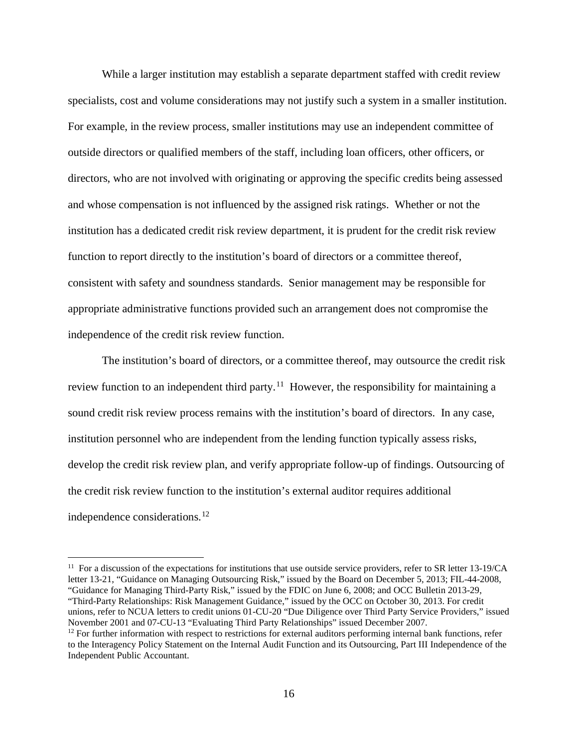While a larger institution may establish a separate department staffed with credit review specialists, cost and volume considerations may not justify such a system in a smaller institution. For example, in the review process, smaller institutions may use an independent committee of outside directors or qualified members of the staff, including loan officers, other officers, or directors, who are not involved with originating or approving the specific credits being assessed and whose compensation is not influenced by the assigned risk ratings. Whether or not the institution has a dedicated credit risk review department, it is prudent for the credit risk review function to report directly to the institution's board of directors or a committee thereof, consistent with safety and soundness standards. Senior management may be responsible for appropriate administrative functions provided such an arrangement does not compromise the independence of the credit risk review function.

The institution's board of directors, or a committee thereof, may outsource the credit risk review function to an independent third party.<sup>[11](#page-15-0)</sup> However, the responsibility for maintaining a sound credit risk review process remains with the institution's board of directors. In any case, institution personnel who are independent from the lending function typically assess risks, develop the credit risk review plan, and verify appropriate follow-up of findings. Outsourcing of the credit risk review function to the institution's external auditor requires additional independence considerations.<sup>[12](#page-15-1)</sup>

<span id="page-15-0"></span> $11$  For a discussion of the expectations for institutions that use outside service providers, refer to SR letter 13-19/CA letter 13-21, "Guidance on Managing Outsourcing Risk," issued by the Board on December 5, 2013; FIL-44-2008, "Guidance for Managing Third-Party Risk," issued by the FDIC on June 6, 2008; and OCC Bulletin 2013-29, "Third-Party Relationships: Risk Management Guidance," issued by the OCC on October 30, 2013. For credit unions, refer to NCUA letters to credit unions 01-CU-20 "Due Diligence over Third Party Service Providers," issued November 2001 and 07-CU-13 "Evaluating Third Party Relationships" issued December 2007.

<span id="page-15-1"></span> $12$  For further information with respect to restrictions for external auditors performing internal bank functions, refer to the Interagency Policy Statement on the Internal Audit Function and its Outsourcing, Part III Independence of the Independent Public Accountant.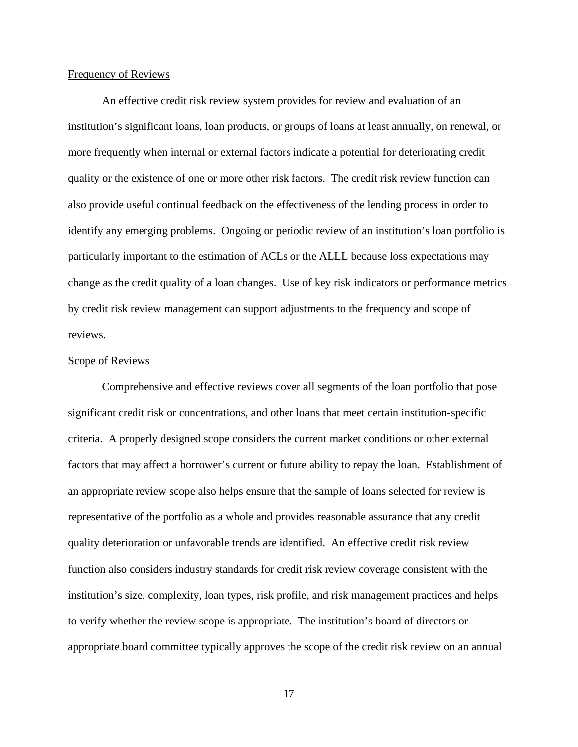#### Frequency of Reviews

An effective credit risk review system provides for review and evaluation of an institution's significant loans, loan products, or groups of loans at least annually, on renewal, or more frequently when internal or external factors indicate a potential for deteriorating credit quality or the existence of one or more other risk factors. The credit risk review function can also provide useful continual feedback on the effectiveness of the lending process in order to identify any emerging problems. Ongoing or periodic review of an institution's loan portfolio is particularly important to the estimation of ACLs or the ALLL because loss expectations may change as the credit quality of a loan changes. Use of key risk indicators or performance metrics by credit risk review management can support adjustments to the frequency and scope of reviews.

#### Scope of Reviews

Comprehensive and effective reviews cover all segments of the loan portfolio that pose significant credit risk or concentrations, and other loans that meet certain institution-specific criteria. A properly designed scope considers the current market conditions or other external factors that may affect a borrower's current or future ability to repay the loan. Establishment of an appropriate review scope also helps ensure that the sample of loans selected for review is representative of the portfolio as a whole and provides reasonable assurance that any credit quality deterioration or unfavorable trends are identified. An effective credit risk review function also considers industry standards for credit risk review coverage consistent with the institution's size, complexity, loan types, risk profile, and risk management practices and helps to verify whether the review scope is appropriate. The institution's board of directors or appropriate board committee typically approves the scope of the credit risk review on an annual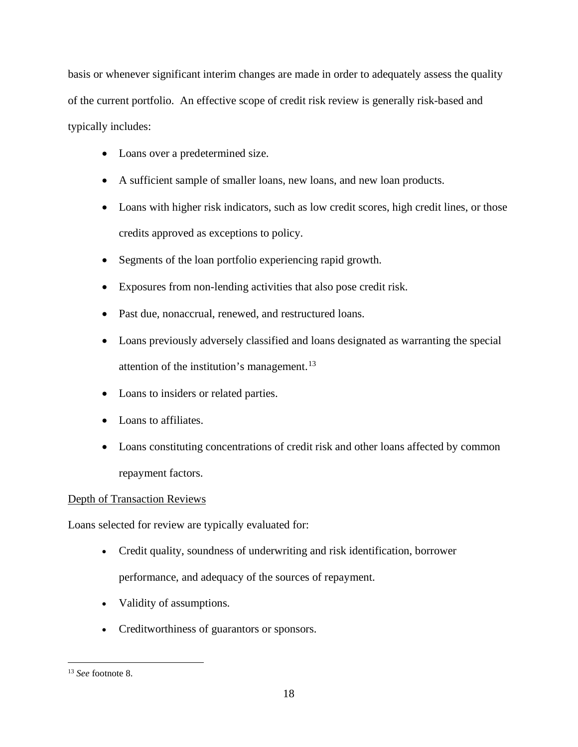basis or whenever significant interim changes are made in order to adequately assess the quality of the current portfolio. An effective scope of credit risk review is generally risk-based and typically includes:

- Loans over a predetermined size.
- A sufficient sample of smaller loans, new loans, and new loan products.
- Loans with higher risk indicators, such as low credit scores, high credit lines, or those credits approved as exceptions to policy.
- Segments of the loan portfolio experiencing rapid growth.
- Exposures from non-lending activities that also pose credit risk.
- Past due, nonaccrual, renewed, and restructured loans.
- Loans previously adversely classified and loans designated as warranting the special attention of the institution's management.<sup>13</sup>
- Loans to insiders or related parties.
- Loans to affiliates.
- Loans constituting concentrations of credit risk and other loans affected by common repayment factors.

### Depth of Transaction Reviews

Loans selected for review are typically evaluated for:

- Credit quality, soundness of underwriting and risk identification, borrower performance, and adequacy of the sources of repayment.
- Validity of assumptions.
- Creditworthiness of guarantors or sponsors.

<span id="page-17-0"></span> <sup>13</sup> *See* footnote 8.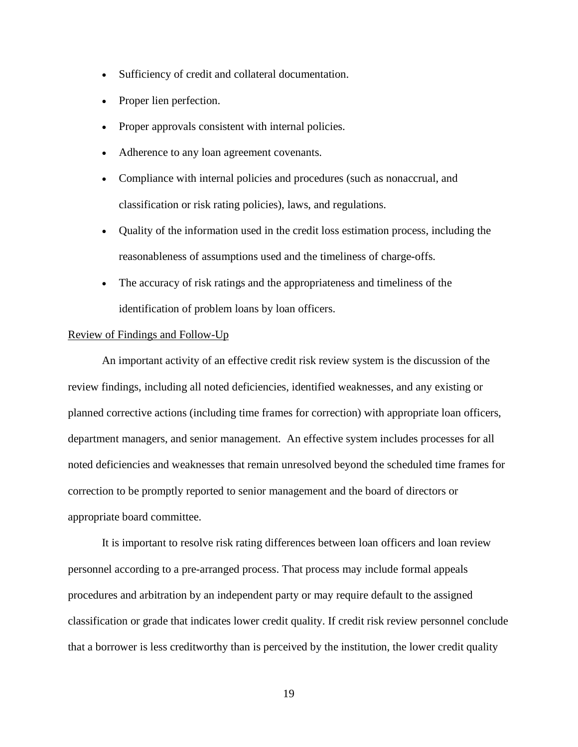- Sufficiency of credit and collateral documentation.
- Proper lien perfection.
- Proper approvals consistent with internal policies.
- Adherence to any loan agreement covenants.
- Compliance with internal policies and procedures (such as nonaccrual, and classification or risk rating policies), laws, and regulations.
- Quality of the information used in the credit loss estimation process, including the reasonableness of assumptions used and the timeliness of charge-offs.
- The accuracy of risk ratings and the appropriateness and timeliness of the identification of problem loans by loan officers.

#### Review of Findings and Follow-Up

An important activity of an effective credit risk review system is the discussion of the review findings, including all noted deficiencies, identified weaknesses, and any existing or planned corrective actions (including time frames for correction) with appropriate loan officers, department managers, and senior management. An effective system includes processes for all noted deficiencies and weaknesses that remain unresolved beyond the scheduled time frames for correction to be promptly reported to senior management and the board of directors or appropriate board committee.

It is important to resolve risk rating differences between loan officers and loan review personnel according to a pre-arranged process. That process may include formal appeals procedures and arbitration by an independent party or may require default to the assigned classification or grade that indicates lower credit quality. If credit risk review personnel conclude that a borrower is less creditworthy than is perceived by the institution, the lower credit quality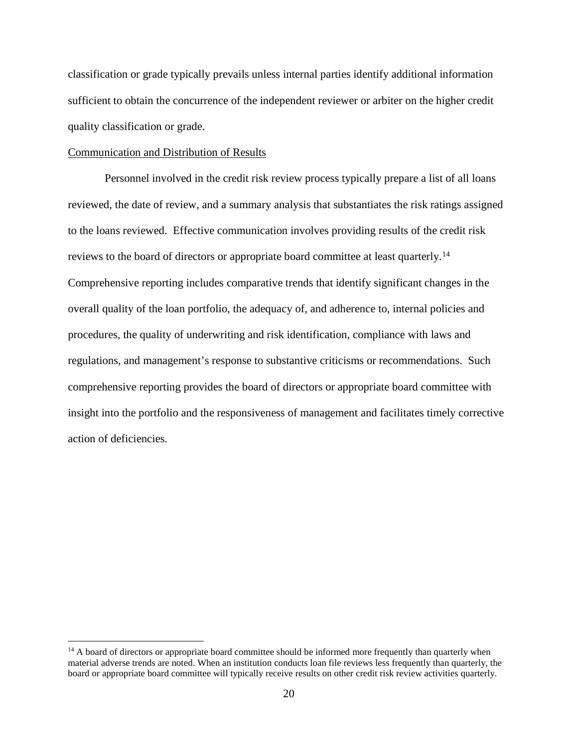classification or grade typically prevails unless internal parties identify additional information sufficient to obtain the concurrence of the independent reviewer or arbiter on the higher credit quality classification or grade.

#### Communication and Distribution of Results

Personnel involved in the credit risk review process typically prepare a list of all loans reviewed, the date of review, and a summary analysis that substantiates the risk ratings assigned to the loans reviewed. Effective communication involves providing results of the credit risk reviews to the board of directors or appropriate board committee at least quarterly.<sup>[14](#page-19-0)</sup> Comprehensive reporting includes comparative trends that identify significant changes in the overall quality of the loan portfolio, the adequacy of, and adherence to, internal policies and procedures, the quality of underwriting and risk identification, compliance with laws and regulations, and management's response to substantive criticisms or recommendations. Such comprehensive reporting provides the board of directors or appropriate board committee with insight into the portfolio and the responsiveness of management and facilitates timely corrective action of deficiencies.

<span id="page-19-0"></span><sup>&</sup>lt;sup>14</sup> A board of directors or appropriate board committee should be informed more frequently than quarterly when material adverse trends are noted. When an institution conducts loan file reviews less frequently than quarterly, the board or appropriate board committee will typically receive results on other credit risk review activities quarterly.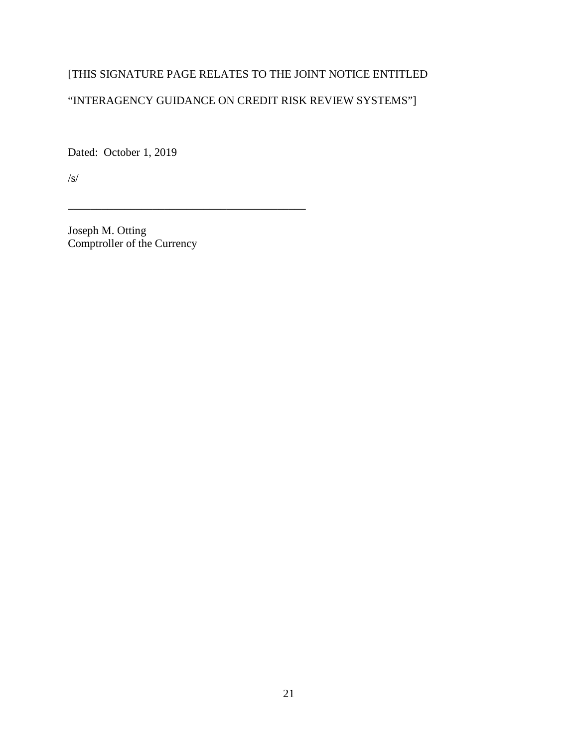## [THIS SIGNATURE PAGE RELATES TO THE JOINT NOTICE ENTITLED

## "INTERAGENCY GUIDANCE ON CREDIT RISK REVIEW SYSTEMS"]

Dated: October 1, 2019

/s/

Joseph M. Otting Comptroller of the Currency

\_\_\_\_\_\_\_\_\_\_\_\_\_\_\_\_\_\_\_\_\_\_\_\_\_\_\_\_\_\_\_\_\_\_\_\_\_\_\_\_\_\_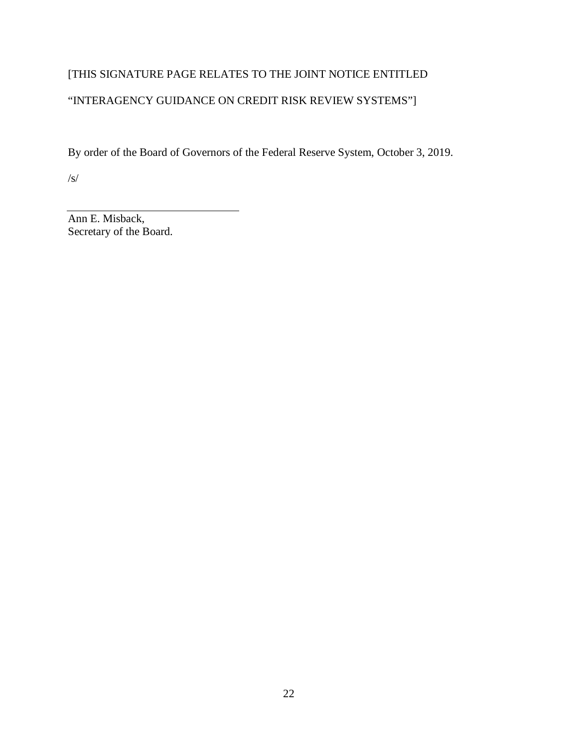# [THIS SIGNATURE PAGE RELATES TO THE JOINT NOTICE ENTITLED

## "INTERAGENCY GUIDANCE ON CREDIT RISK REVIEW SYSTEMS"]

By order of the Board of Governors of the Federal Reserve System, October 3, 2019.

/s/

Ann E. Misback, Secretary of the Board.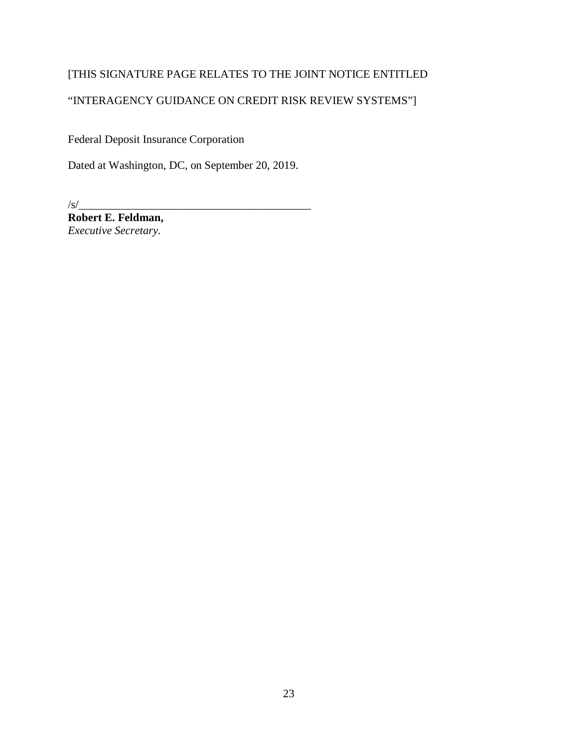## [THIS SIGNATURE PAGE RELATES TO THE JOINT NOTICE ENTITLED

## "INTERAGENCY GUIDANCE ON CREDIT RISK REVIEW SYSTEMS"]

Federal Deposit Insurance Corporation

Dated at Washington, DC, on September 20, 2019.

 $\frac{1}{s}$ 

**Robert E. Feldman,** *Executive Secretary.*